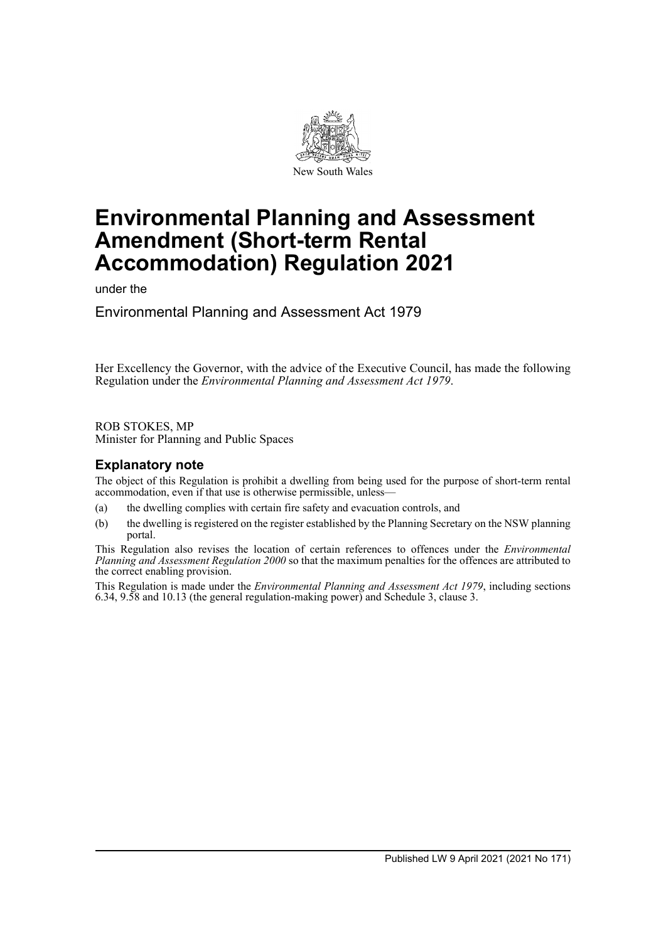

# **Environmental Planning and Assessment Amendment (Short-term Rental Accommodation) Regulation 2021**

under the

Environmental Planning and Assessment Act 1979

Her Excellency the Governor, with the advice of the Executive Council, has made the following Regulation under the *Environmental Planning and Assessment Act 1979*.

ROB STOKES, MP Minister for Planning and Public Spaces

## **Explanatory note**

The object of this Regulation is prohibit a dwelling from being used for the purpose of short-term rental accommodation, even if that use is otherwise permissible, unless—

- (a) the dwelling complies with certain fire safety and evacuation controls, and
- (b) the dwelling is registered on the register established by the Planning Secretary on the NSW planning portal.

This Regulation also revises the location of certain references to offences under the *Environmental Planning and Assessment Regulation 2000* so that the maximum penalties for the offences are attributed to the correct enabling provision.

This Regulation is made under the *Environmental Planning and Assessment Act 1979*, including sections 6.34, 9.58 and 10.13 (the general regulation-making power) and Schedule 3, clause 3.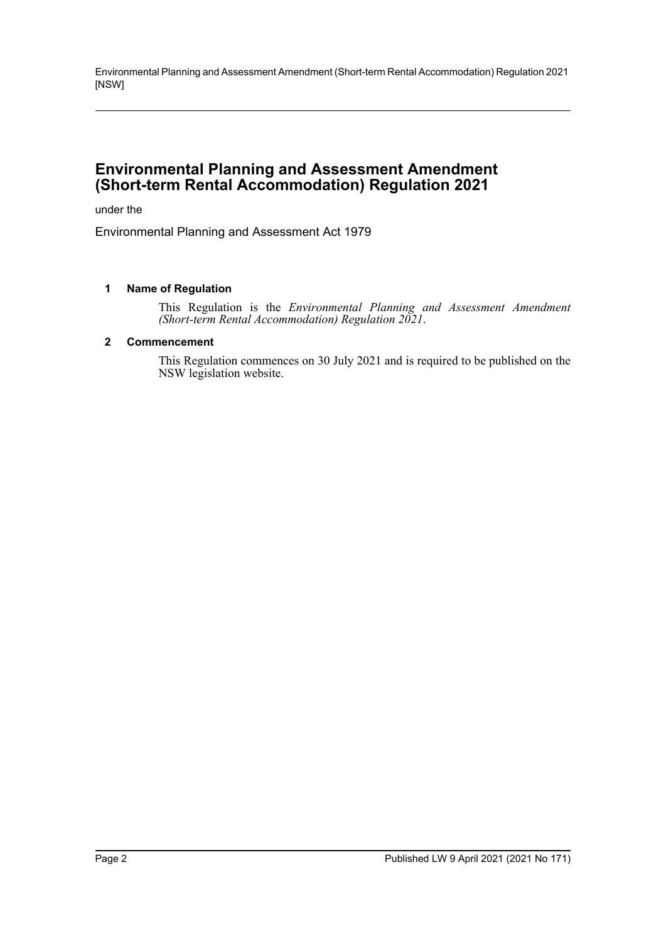Environmental Planning and Assessment Amendment (Short-term Rental Accommodation) Regulation 2021 [NSW]

## **Environmental Planning and Assessment Amendment (Short-term Rental Accommodation) Regulation 2021**

under the

Environmental Planning and Assessment Act 1979

#### **1 Name of Regulation**

This Regulation is the *Environmental Planning and Assessment Amendment (Short-term Rental Accommodation) Regulation 2021*.

#### **2 Commencement**

This Regulation commences on 30 July 2021 and is required to be published on the NSW legislation website.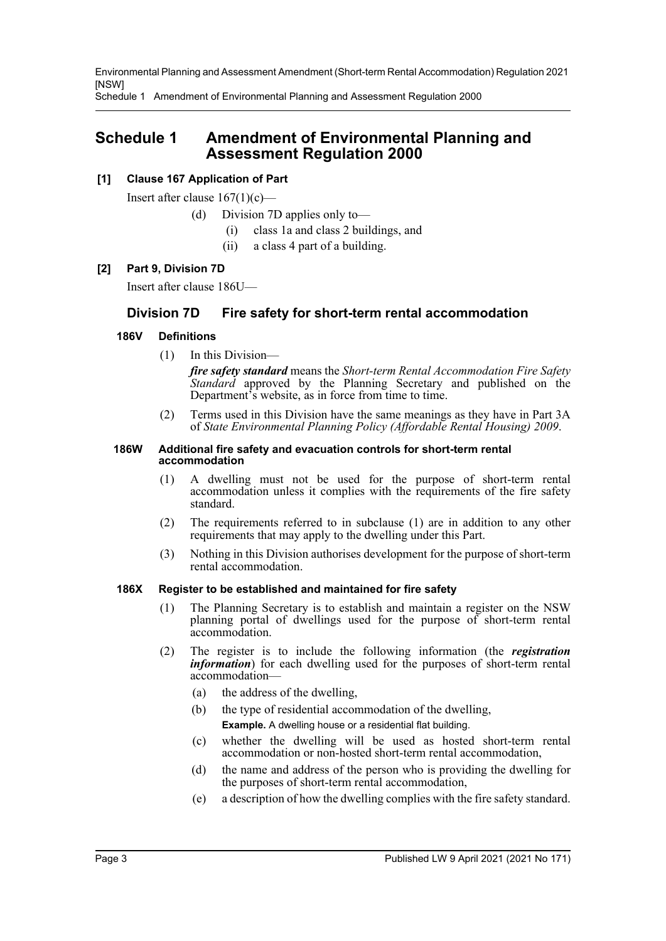Environmental Planning and Assessment Amendment (Short-term Rental Accommodation) Regulation 2021 [NSW]

Schedule 1 Amendment of Environmental Planning and Assessment Regulation 2000

# **Schedule 1 Amendment of Environmental Planning and Assessment Regulation 2000**

## **[1] Clause 167 Application of Part**

Insert after clause  $167(1)(c)$ —

- (d) Division 7D applies only to—
	- (i) class 1a and class 2 buildings, and
	- (ii) a class 4 part of a building.

#### **[2] Part 9, Division 7D**

Insert after clause 186U—

## **Division 7D Fire safety for short-term rental accommodation**

#### **186V Definitions**

(1) In this Division—

*fire safety standard* means the *Short-term Rental Accommodation Fire Safety Standard* approved by the Planning Secretary and published on the Department's website, as in force from time to time.

(2) Terms used in this Division have the same meanings as they have in Part 3A of *State Environmental Planning Policy (Affordable Rental Housing) 2009*.

#### **186W Additional fire safety and evacuation controls for short-term rental accommodation**

- (1) A dwelling must not be used for the purpose of short-term rental accommodation unless it complies with the requirements of the fire safety standard.
- (2) The requirements referred to in subclause (1) are in addition to any other requirements that may apply to the dwelling under this Part.
- (3) Nothing in this Division authorises development for the purpose of short-term rental accommodation.

#### **186X Register to be established and maintained for fire safety**

- (1) The Planning Secretary is to establish and maintain a register on the NSW planning portal of dwellings used for the purpose of short-term rental accommodation.
- (2) The register is to include the following information (the *registration information*) for each dwelling used for the purposes of short-term rental accommodation—
	- (a) the address of the dwelling,
	- (b) the type of residential accommodation of the dwelling, **Example.** A dwelling house or a residential flat building.
	- (c) whether the dwelling will be used as hosted short-term rental accommodation or non-hosted short-term rental accommodation,
	- (d) the name and address of the person who is providing the dwelling for the purposes of short-term rental accommodation,
	- (e) a description of how the dwelling complies with the fire safety standard.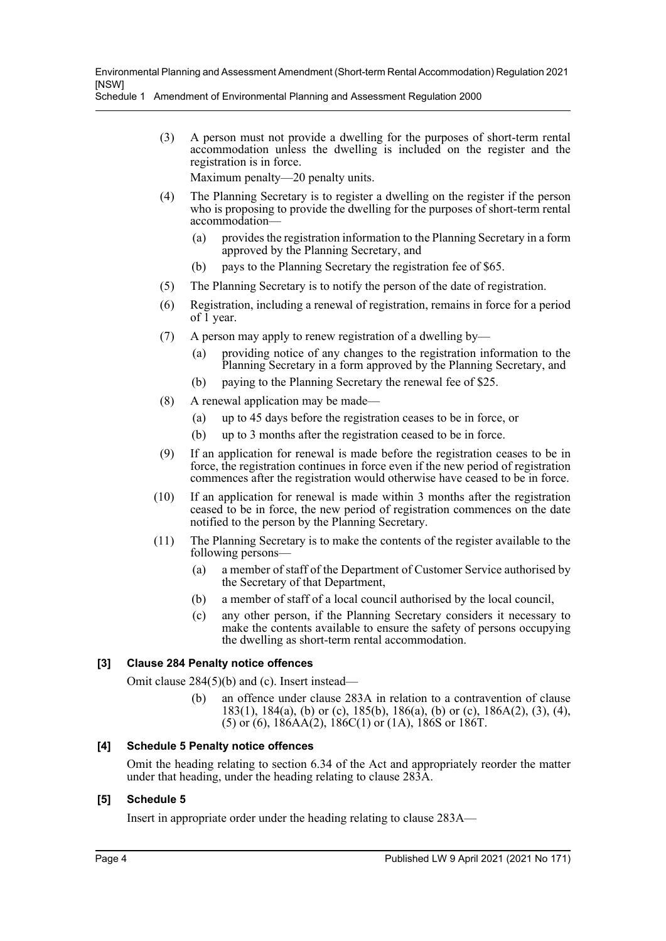Schedule 1 Amendment of Environmental Planning and Assessment Regulation 2000

(3) A person must not provide a dwelling for the purposes of short-term rental accommodation unless the dwelling is included on the register and the registration is in force.

Maximum penalty—20 penalty units.

- (4) The Planning Secretary is to register a dwelling on the register if the person who is proposing to provide the dwelling for the purposes of short-term rental accommodation—
	- (a) provides the registration information to the Planning Secretary in a form approved by the Planning Secretary, and
	- (b) pays to the Planning Secretary the registration fee of \$65.
- (5) The Planning Secretary is to notify the person of the date of registration.
- (6) Registration, including a renewal of registration, remains in force for a period of  $\overline{1}$  year.
- (7) A person may apply to renew registration of a dwelling by—
	- (a) providing notice of any changes to the registration information to the Planning Secretary in a form approved by the Planning Secretary, and
	- (b) paying to the Planning Secretary the renewal fee of \$25.
- (8) A renewal application may be made—
	- (a) up to 45 days before the registration ceases to be in force, or
	- (b) up to 3 months after the registration ceased to be in force.
- (9) If an application for renewal is made before the registration ceases to be in force, the registration continues in force even if the new period of registration commences after the registration would otherwise have ceased to be in force.
- (10) If an application for renewal is made within 3 months after the registration ceased to be in force, the new period of registration commences on the date notified to the person by the Planning Secretary.
- (11) The Planning Secretary is to make the contents of the register available to the following persons—
	- (a) a member of staff of the Department of Customer Service authorised by the Secretary of that Department,
	- (b) a member of staff of a local council authorised by the local council,
	- (c) any other person, if the Planning Secretary considers it necessary to make the contents available to ensure the safety of persons occupying the dwelling as short-term rental accommodation.

## **[3] Clause 284 Penalty notice offences**

Omit clause 284(5)(b) and (c). Insert instead—

(b) an offence under clause 283A in relation to a contravention of clause 183(1), 184(a), (b) or (c), 185(b), 186(a), (b) or (c), 186A(2), (3), (4), (5) or (6), 186AA(2), 186C(1) or (1A), 186S or 186T.

## **[4] Schedule 5 Penalty notice offences**

Omit the heading relating to section 6.34 of the Act and appropriately reorder the matter under that heading, under the heading relating to clause 283A.

### **[5] Schedule 5**

Insert in appropriate order under the heading relating to clause 283A—